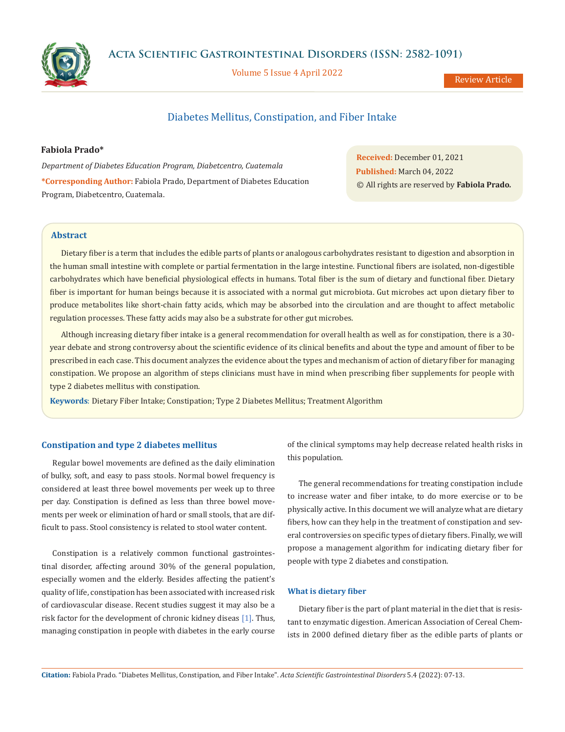



Volume 5 Issue 4 April 2022

Review Article

# Diabetes Mellitus, Constipation, and Fiber Intake

**Fabiola Prado\***

*Department of Diabetes Education Program, Diabetcentro, Cuatemala* **\*Corresponding Author:** Fabiola Prado, Department of Diabetes Education Program, Diabetcentro, Cuatemala.

**Received:** December 01, 2021 **Published:** March 04, 2022 © All rights are reserved by **Fabiola Prado***.*

# **Abstract**

Dietary fiber is a term that includes the edible parts of plants or analogous carbohydrates resistant to digestion and absorption in the human small intestine with complete or partial fermentation in the large intestine. Functional fibers are isolated, non-digestible carbohydrates which have beneficial physiological effects in humans. Total fiber is the sum of dietary and functional fiber. Dietary fiber is important for human beings because it is associated with a normal gut microbiota. Gut microbes act upon dietary fiber to produce metabolites like short-chain fatty acids, which may be absorbed into the circulation and are thought to affect metabolic regulation processes. These fatty acids may also be a substrate for other gut microbes.

Although increasing dietary fiber intake is a general recommendation for overall health as well as for constipation, there is a 30 year debate and strong controversy about the scientific evidence of its clinical benefits and about the type and amount of fiber to be prescribed in each case. This document analyzes the evidence about the types and mechanism of action of dietary fiber for managing constipation. We propose an algorithm of steps clinicians must have in mind when prescribing fiber supplements for people with type 2 diabetes mellitus with constipation.

**Keywords**: Dietary Fiber Intake; Constipation; Type 2 Diabetes Mellitus; Treatment Algorithm

## **Constipation and type 2 diabetes mellitus**

Regular bowel movements are defined as the daily elimination of bulky, soft, and easy to pass stools. Normal bowel frequency is considered at least three bowel movements per week up to three per day. Constipation is defined as less than three bowel movements per week or elimination of hard or small stools, that are difficult to pass. Stool consistency is related to stool water content.

Constipation is a relatively common functional gastrointestinal disorder, affecting around 30% of the general population, especially women and the elderly. Besides affecting the patient's quality of life, constipation has been associated with increased risk of cardiovascular disease. Recent studies suggest it may also be a risk factor for the development of chronic kidney diseas [1]. Thus, managing constipation in people with diabetes in the early course of the clinical symptoms may help decrease related health risks in this population.

The general recommendations for treating constipation include to increase water and fiber intake, to do more exercise or to be physically active. In this document we will analyze what are dietary fibers, how can they help in the treatment of constipation and several controversies on specific types of dietary fibers. Finally, we will propose a management algorithm for indicating dietary fiber for people with type 2 diabetes and constipation.

### **What is dietary fiber**

Dietary fiber is the part of plant material in the diet that is resistant to enzymatic digestion. American Association of Cereal Chemists in 2000 defined dietary fiber as the edible parts of plants or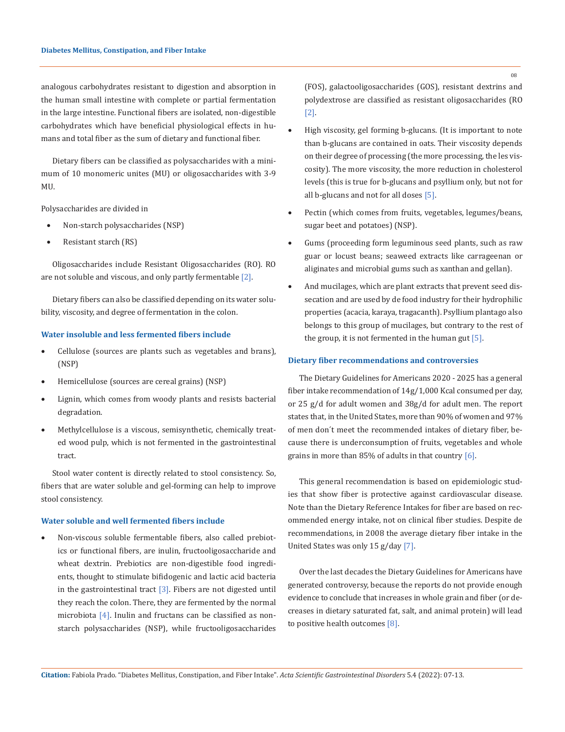analogous carbohydrates resistant to digestion and absorption in the human small intestine with complete or partial fermentation in the large intestine. Functional fibers are isolated, non-digestible carbohydrates which have beneficial physiological effects in humans and total fiber as the sum of dietary and functional fiber.

Dietary fibers can be classified as polysaccharides with a minimum of 10 monomeric unites (MU) or oligosaccharides with 3-9 MU.

Polysaccharides are divided in

- Non-starch polysaccharides (NSP)
- Resistant starch (RS)

Oligosaccharides include Resistant Oligosaccharides (RO). RO are not soluble and viscous, and only partly fermentable [2].

Dietary fibers can also be classified depending on its water solubility, viscosity, and degree of fermentation in the colon.

## **Water insoluble and less fermented fibers include**

- Cellulose (sources are plants such as vegetables and brans), (NSP)
- • Hemicellulose (sources are cereal grains) (NSP)
- Lignin, which comes from woody plants and resists bacterial degradation.
- Methylcellulose is a viscous, semisynthetic, chemically treated wood pulp, which is not fermented in the gastrointestinal tract.

Stool water content is directly related to stool consistency. So, fibers that are water soluble and gel-forming can help to improve stool consistency.

#### **Water soluble and well fermented fibers include**

Non-viscous soluble fermentable fibers, also called prebiotics or functional fibers, are inulin, fructooligosaccharide and wheat dextrin. Prebiotics are non-digestible food ingredients, thought to stimulate bifidogenic and lactic acid bacteria in the gastrointestinal tract  $[3]$ . Fibers are not digested until they reach the colon. There, they are fermented by the normal microbiota [4]. Inulin and fructans can be classified as nonstarch polysaccharides (NSP), while fructooligosaccharides (FOS), galactooligosaccharides (GOS), resistant dextrins and polydextrose are classified as resistant oligosaccharides (RO [2].

- High viscosity, gel forming b-glucans. (It is important to note than b-glucans are contained in oats. Their viscosity depends on their degree of processing (the more processing, the les viscosity). The more viscosity, the more reduction in cholesterol levels (this is true for b-glucans and psyllium only, but not for all b-glucans and not for all doses [5].
- Pectin (which comes from fruits, vegetables, legumes/beans, sugar beet and potatoes) (NSP).
- Gums (proceeding form leguminous seed plants, such as raw guar or locust beans; seaweed extracts like carrageenan or aliginates and microbial gums such as xanthan and gellan).
- And mucilages, which are plant extracts that prevent seed dissecation and are used by de food industry for their hydrophilic properties (acacia, karaya, tragacanth). Psyllium plantago also belongs to this group of mucilages, but contrary to the rest of the group, it is not fermented in the human gut  $[5]$ .

### **Dietary fiber recommendations and controversies**

The Dietary Guidelines for Americans 2020 - 2025 has a general fiber intake recommendation of 14g/1,000 Kcal consumed per day, or 25 g/d for adult women and 38g/d for adult men. The report states that, in the United States, more than 90% of women and 97% of men don´t meet the recommended intakes of dietary fiber, because there is underconsumption of fruits, vegetables and whole grains in more than 85% of adults in that country [6].

This general recommendation is based on epidemiologic studies that show fiber is protective against cardiovascular disease. Note than the Dietary Reference Intakes for fiber are based on recommended energy intake, not on clinical fiber studies. Despite de recommendations, in 2008 the average dietary fiber intake in the United States was only 15 g/day [7].

Over the last decades the Dietary Guidelines for Americans have generated controversy, because the reports do not provide enough evidence to conclude that increases in whole grain and fiber (or decreases in dietary saturated fat, salt, and animal protein) will lead to positive health outcomes [8].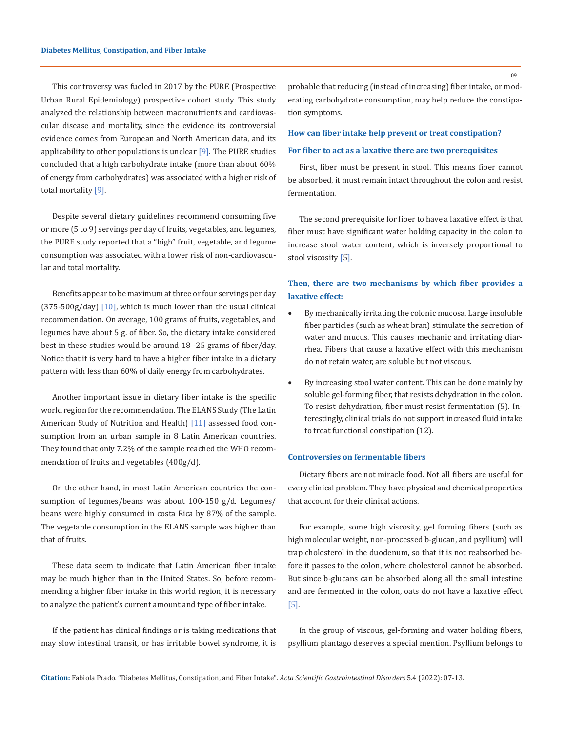This controversy was fueled in 2017 by the PURE (Prospective Urban Rural Epidemiology) prospective cohort study. This study analyzed the relationship between macronutrients and cardiovascular disease and mortality, since the evidence its controversial evidence comes from European and North American data, and its applicability to other populations is unclear  $[9]$ . The PURE studies concluded that a high carbohydrate intake (more than about 60% of energy from carbohydrates) was associated with a higher risk of total mortality [9].

Despite several dietary guidelines recommend consuming five or more (5 to 9) servings per day of fruits, vegetables, and legumes, the PURE study reported that a "high" fruit, vegetable, and legume consumption was associated with a lower risk of non-cardiovascular and total mortality.

Benefits appear to be maximum at three or four servings per day  $(375-500g/day)$  [10], which is much lower than the usual clinical recommendation. On average, 100 grams of fruits, vegetables, and legumes have about 5 g. of fiber. So, the dietary intake considered best in these studies would be around 18 -25 grams of fiber/day. Notice that it is very hard to have a higher fiber intake in a dietary pattern with less than 60% of daily energy from carbohydrates.

Another important issue in dietary fiber intake is the specific world region for the recommendation. The ELANS Study (The Latin American Study of Nutrition and Health) [11] assessed food consumption from an urban sample in 8 Latin American countries. They found that only 7.2% of the sample reached the WHO recommendation of fruits and vegetables (400g/d).

On the other hand, in most Latin American countries the consumption of legumes/beans was about 100-150 g/d. Legumes/ beans were highly consumed in costa Rica by 87% of the sample. The vegetable consumption in the ELANS sample was higher than that of fruits.

These data seem to indicate that Latin American fiber intake may be much higher than in the United States. So, before recommending a higher fiber intake in this world region, it is necessary to analyze the patient's current amount and type of fiber intake.

If the patient has clinical findings or is taking medications that may slow intestinal transit, or has irritable bowel syndrome, it is probable that reducing (instead of increasing) fiber intake, or moderating carbohydrate consumption, may help reduce the constipation symptoms.

#### **How can fiber intake help prevent or treat constipation?**

### **For fiber to act as a laxative there are two prerequisites**

First, fiber must be present in stool. This means fiber cannot be absorbed, it must remain intact throughout the colon and resist fermentation.

The second prerequisite for fiber to have a laxative effect is that fiber must have significant water holding capacity in the colon to increase stool water content, which is inversely proportional to stool viscosity [5].

# **Then, there are two mechanisms by which fiber provides a laxative effect:**

- By mechanically irritating the colonic mucosa. Large insoluble fiber particles (such as wheat bran) stimulate the secretion of water and mucus. This causes mechanic and irritating diarrhea. Fibers that cause a laxative effect with this mechanism do not retain water, are soluble but not viscous.
- By increasing stool water content. This can be done mainly by soluble gel-forming fiber, that resists dehydration in the colon. To resist dehydration, fiber must resist fermentation (5). Interestingly, clinical trials do not support increased fluid intake to treat functional constipation (12).

# **Controversies on fermentable fibers**

Dietary fibers are not miracle food. Not all fibers are useful for every clinical problem. They have physical and chemical properties that account for their clinical actions.

For example, some high viscosity, gel forming fibers (such as high molecular weight, non-processed b-glucan, and psyllium) will trap cholesterol in the duodenum, so that it is not reabsorbed before it passes to the colon, where cholesterol cannot be absorbed. But since b-glucans can be absorbed along all the small intestine and are fermented in the colon, oats do not have a laxative effect [5].

In the group of viscous, gel-forming and water holding fibers, psyllium plantago deserves a special mention. Psyllium belongs to

09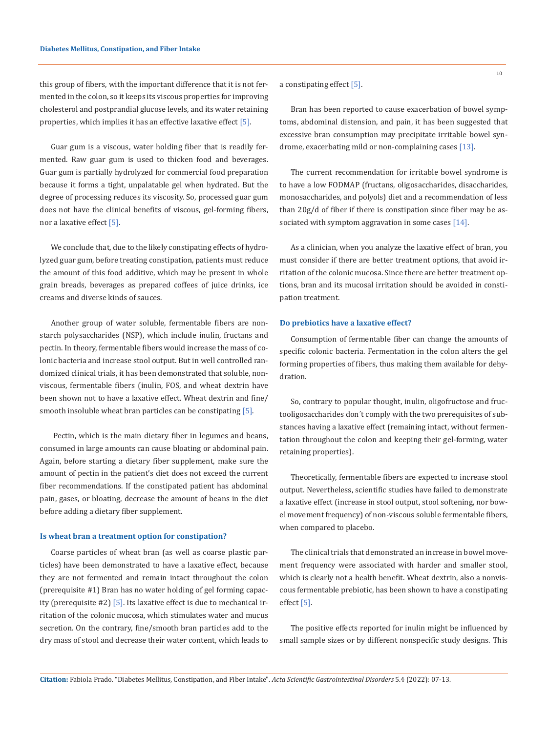this group of fibers, with the important difference that it is not fermented in the colon, so it keeps its viscous properties for improving cholesterol and postprandial glucose levels, and its water retaining properties, which implies it has an effective laxative effect [5].

Guar gum is a viscous, water holding fiber that is readily fermented. Raw guar gum is used to thicken food and beverages. Guar gum is partially hydrolyzed for commercial food preparation because it forms a tight, unpalatable gel when hydrated. But the degree of processing reduces its viscosity. So, processed guar gum does not have the clinical benefits of viscous, gel-forming fibers, nor a laxative effect [5].

We conclude that, due to the likely constipating effects of hydrolyzed guar gum, before treating constipation, patients must reduce the amount of this food additive, which may be present in whole grain breads, beverages as prepared coffees of juice drinks, ice creams and diverse kinds of sauces.

Another group of water soluble, fermentable fibers are nonstarch polysaccharides (NSP), which include inulin, fructans and pectin. In theory, fermentable fibers would increase the mass of colonic bacteria and increase stool output. But in well controlled randomized clinical trials, it has been demonstrated that soluble, nonviscous, fermentable fibers (inulin, FOS, and wheat dextrin have been shown not to have a laxative effect. Wheat dextrin and fine/ smooth insoluble wheat bran particles can be constipating [5].

 Pectin, which is the main dietary fiber in legumes and beans, consumed in large amounts can cause bloating or abdominal pain. Again, before starting a dietary fiber supplement, make sure the amount of pectin in the patient's diet does not exceed the current fiber recommendations. If the constipated patient has abdominal pain, gases, or bloating, decrease the amount of beans in the diet before adding a dietary fiber supplement.

#### **Is wheat bran a treatment option for constipation?**

Coarse particles of wheat bran (as well as coarse plastic particles) have been demonstrated to have a laxative effect, because they are not fermented and remain intact throughout the colon (prerequisite #1) Bran has no water holding of gel forming capacity (prerequisite #2) [5]. Its laxative effect is due to mechanical irritation of the colonic mucosa, which stimulates water and mucus secretion. On the contrary, fine/smooth bran particles add to the dry mass of stool and decrease their water content, which leads to a constipating effect [5].

Bran has been reported to cause exacerbation of bowel symptoms, abdominal distension, and pain, it has been suggested that excessive bran consumption may precipitate irritable bowel syndrome, exacerbating mild or non-complaining cases [13].

The current recommendation for irritable bowel syndrome is to have a low FODMAP (fructans, oligosaccharides, disaccharides, monosaccharides, and polyols) diet and a recommendation of less than 20g/d of fiber if there is constipation since fiber may be associated with symptom aggravation in some cases [14].

As a clinician, when you analyze the laxative effect of bran, you must consider if there are better treatment options, that avoid irritation of the colonic mucosa. Since there are better treatment options, bran and its mucosal irritation should be avoided in constipation treatment.

#### **Do prebiotics have a laxative effect?**

Consumption of fermentable fiber can change the amounts of specific colonic bacteria. Fermentation in the colon alters the gel forming properties of fibers, thus making them available for dehydration.

So, contrary to popular thought, inulin, oligofructose and fructooligosaccharides don´t comply with the two prerequisites of substances having a laxative effect (remaining intact, without fermentation throughout the colon and keeping their gel-forming, water retaining properties).

Theoretically, fermentable fibers are expected to increase stool output. Nevertheless, scientific studies have failed to demonstrate a laxative effect (increase in stool output, stool softening, nor bowel movement frequency) of non-viscous soluble fermentable fibers, when compared to placebo.

The clinical trials that demonstrated an increase in bowel movement frequency were associated with harder and smaller stool, which is clearly not a health benefit. Wheat dextrin, also a nonviscous fermentable prebiotic, has been shown to have a constipating effect [5].

The positive effects reported for inulin might be influenced by small sample sizes or by different nonspecific study designs. This

10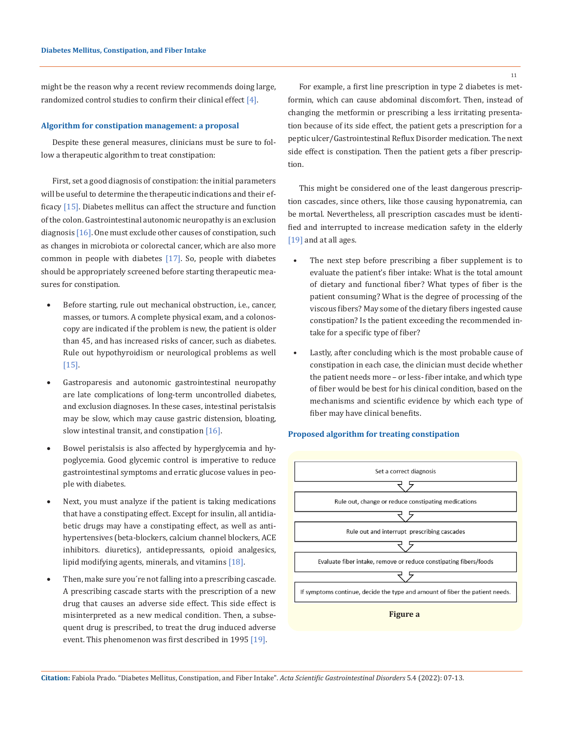might be the reason why a recent review recommends doing large, randomized control studies to confirm their clinical effect [4].

#### **Algorithm for constipation management: a proposal**

Despite these general measures, clinicians must be sure to follow a therapeutic algorithm to treat constipation:

First, set a good diagnosis of constipation: the initial parameters will be useful to determine the therapeutic indications and their efficacy  $[15]$ . Diabetes mellitus can affect the structure and function of the colon. Gastrointestinal autonomic neuropathy is an exclusion diagnosis [16]. One must exclude other causes of constipation, such as changes in microbiota or colorectal cancer, which are also more common in people with diabetes [17]. So, people with diabetes should be appropriately screened before starting therapeutic measures for constipation.

- Before starting, rule out mechanical obstruction, i.e., cancer, masses, or tumors. A complete physical exam, and a colonoscopy are indicated if the problem is new, the patient is older than 45, and has increased risks of cancer, such as diabetes. Rule out hypothyroidism or neurological problems as well [15].
- Gastroparesis and autonomic gastrointestinal neuropathy are late complications of long-term uncontrolled diabetes, and exclusion diagnoses. In these cases, intestinal peristalsis may be slow, which may cause gastric distension, bloating, slow intestinal transit, and constipation [16].
- Bowel peristalsis is also affected by hyperglycemia and hypoglycemia. Good glycemic control is imperative to reduce gastrointestinal symptoms and erratic glucose values in people with diabetes.
- Next, you must analyze if the patient is taking medications that have a constipating effect. Except for insulin, all antidiabetic drugs may have a constipating effect, as well as antihypertensives (beta-blockers, calcium channel blockers, ACE inhibitors. diuretics), antidepressants, opioid analgesics, lipid modifying agents, minerals, and vitamins [18].
- Then, make sure you're not falling into a prescribing cascade. A prescribing cascade starts with the prescription of a new drug that causes an adverse side effect. This side effect is misinterpreted as a new medical condition. Then, a subsequent drug is prescribed, to treat the drug induced adverse event. This phenomenon was first described in 1995 [19].

For example, a first line prescription in type 2 diabetes is metformin, which can cause abdominal discomfort. Then, instead of changing the metformin or prescribing a less irritating presentation because of its side effect, the patient gets a prescription for a peptic ulcer/Gastrointestinal Reflux Disorder medication. The next side effect is constipation. Then the patient gets a fiber prescription.

This might be considered one of the least dangerous prescription cascades, since others, like those causing hyponatremia, can be mortal. Nevertheless, all prescription cascades must be identified and interrupted to increase medication safety in the elderly [19] and at all ages.

- The next step before prescribing a fiber supplement is to evaluate the patient's fiber intake: What is the total amount of dietary and functional fiber? What types of fiber is the patient consuming? What is the degree of processing of the viscous fibers? May some of the dietary fibers ingested cause constipation? Is the patient exceeding the recommended intake for a specific type of fiber?
- Lastly, after concluding which is the most probable cause of constipation in each case, the clinician must decide whether the patient needs more – or less- fiber intake, and which type of fiber would be best for his clinical condition, based on the mechanisms and scientific evidence by which each type of fiber may have clinical benefits.

### **Proposed algorithm for treating constipation**



**Citation:** Fabiola Prado*.* "Diabetes Mellitus, Constipation, and Fiber Intake". *Acta Scientific Gastrointestinal Disorders* 5.4 (2022): 07-13.

11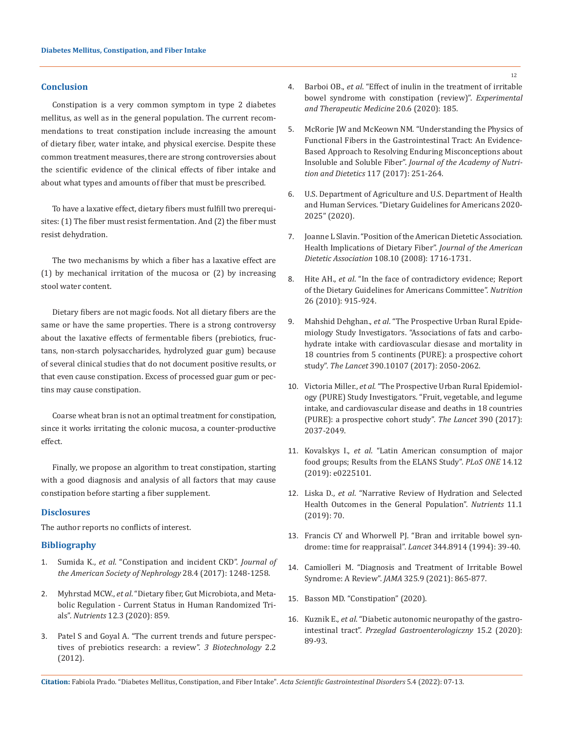### **Conclusion**

Constipation is a very common symptom in type 2 diabetes mellitus, as well as in the general population. The current recommendations to treat constipation include increasing the amount of dietary fiber, water intake, and physical exercise. Despite these common treatment measures, there are strong controversies about the scientific evidence of the clinical effects of fiber intake and about what types and amounts of fiber that must be prescribed.

To have a laxative effect, dietary fibers must fulfill two prerequisites: (1) The fiber must resist fermentation. And (2) the fiber must resist dehydration.

The two mechanisms by which a fiber has a laxative effect are (1) by mechanical irritation of the mucosa or (2) by increasing stool water content.

Dietary fibers are not magic foods. Not all dietary fibers are the same or have the same properties. There is a strong controversy about the laxative effects of fermentable fibers (prebiotics, fructans, non-starch polysaccharides, hydrolyzed guar gum) because of several clinical studies that do not document positive results, or that even cause constipation. Excess of processed guar gum or pectins may cause constipation.

Coarse wheat bran is not an optimal treatment for constipation, since it works irritating the colonic mucosa, a counter-productive effect.

Finally, we propose an algorithm to treat constipation, starting with a good diagnosis and analysis of all factors that may cause constipation before starting a fiber supplement.

# **Disclosures**

The author reports no conflicts of interest.

### **Bibliography**

- 1. Sumida K., *et al*[. "Constipation and incident CKD".](https://pubmed.ncbi.nlm.nih.gov/28122944/) *Journal of [the American Society of Nephrology](https://pubmed.ncbi.nlm.nih.gov/28122944/)* 28.4 (2017): 1248-1258.
- 2. Myhrstad MCW., *et al*[. "Dietary fiber, Gut Microbiota, and Meta](https://www.ncbi.nlm.nih.gov/pmc/articles/PMC7146107/)[bolic Regulation - Current Status in Human Randomized Tri](https://www.ncbi.nlm.nih.gov/pmc/articles/PMC7146107/)als". *Nutrients* [12.3 \(2020\): 859.](https://www.ncbi.nlm.nih.gov/pmc/articles/PMC7146107/)
- 3. [Patel S and Goyal A. "The current trends and future perspec](https://www.ncbi.nlm.nih.gov/pmc/articles/PMC3376865/)[tives of prebiotics research: a review".](https://www.ncbi.nlm.nih.gov/pmc/articles/PMC3376865/) *3 Biotechnology* 2.2 [\(2012\).](https://www.ncbi.nlm.nih.gov/pmc/articles/PMC3376865/)
- 4. Barboi OB., *et al*[. "Effect of inulin in the treatment of irritable](https://pubmed.ncbi.nlm.nih.gov/33101475/)  [bowel syndrome with constipation \(review\)".](https://pubmed.ncbi.nlm.nih.gov/33101475/) *Experimental [and Therapeutic Medicine](https://pubmed.ncbi.nlm.nih.gov/33101475/)* 20.6 (2020): 185.
- 5. [McRorie JW and McKeown NM. "Understanding the Physics of](https://pubmed.ncbi.nlm.nih.gov/27863994/)  [Functional Fibers in the Gastrointestinal Tract: An Evidence-](https://pubmed.ncbi.nlm.nih.gov/27863994/)[Based Approach to Resolving Enduring Misconceptions about](https://pubmed.ncbi.nlm.nih.gov/27863994/)  Insoluble and Soluble Fiber". *[Journal of the Academy of Nutri](https://pubmed.ncbi.nlm.nih.gov/27863994/)[tion and Dietetics](https://pubmed.ncbi.nlm.nih.gov/27863994/)* 117 (2017): 251-264.
- 6. U[.S. Department of Agriculture and U.S. Department of Health](https://www.dietaryguidelines.gov/sites/default/files/2020-12/Dietary_Guidelines_for_Americans_2020-2025.pdf)  [and Human Services. "Dietary Guidelines for Americans 2020-](https://www.dietaryguidelines.gov/sites/default/files/2020-12/Dietary_Guidelines_for_Americans_2020-2025.pdf) [2025" \(2020\).](https://www.dietaryguidelines.gov/sites/default/files/2020-12/Dietary_Guidelines_for_Americans_2020-2025.pdf)
- 7. [Joanne L Slavin. "Position of the American Dietetic Association.](https://pubmed.ncbi.nlm.nih.gov/18953766/)  [Health Implications of Dietary Fiber".](https://pubmed.ncbi.nlm.nih.gov/18953766/) *Journal of the American Dietetic Association* [108.10 \(2008\): 1716-1731.](https://pubmed.ncbi.nlm.nih.gov/18953766/)
- 8. Hite AH., *et al*[. "In the face of contradictory evidence; Report](https://pubmed.ncbi.nlm.nih.gov/20888548/)  [of the Dietary Guidelines for Americans Committee".](https://pubmed.ncbi.nlm.nih.gov/20888548/) *Nutrition* [26 \(2010\): 915-924.](https://pubmed.ncbi.nlm.nih.gov/20888548/)
- 9. Mahshid Dehghan., *et al*[. "The Prospective Urban Rural Epide](https://pubmed.ncbi.nlm.nih.gov/28864332/)[miology Study Investigators. "Associations of fats and carbo](https://pubmed.ncbi.nlm.nih.gov/28864332/)[hydrate intake with cardiovascular diesase and mortality in](https://pubmed.ncbi.nlm.nih.gov/28864332/)  [18 countries from 5 continents \(PURE\): a prospective cohort](https://pubmed.ncbi.nlm.nih.gov/28864332/)  study". *The Lancet* [390.10107 \(2017\): 2050-2062.](https://pubmed.ncbi.nlm.nih.gov/28864332/)
- 10. Victoria Miller., *et al.* ["The Prospective Urban Rural Epidemiol](https://pubmed.ncbi.nlm.nih.gov/28864331/)[ogy \(PURE\) Study Investigators. "Fruit, vegetable, and legume](https://pubmed.ncbi.nlm.nih.gov/28864331/)  [intake, and cardiovascular disease and deaths in 18 countries](https://pubmed.ncbi.nlm.nih.gov/28864331/)  [\(PURE\): a prospective cohort study".](https://pubmed.ncbi.nlm.nih.gov/28864331/) *The Lancet* 390 (2017): [2037-2049.](https://pubmed.ncbi.nlm.nih.gov/28864331/)
- 11. Kovalskys I., *et al*[. "Latin American consumption of major](https://pubmed.ncbi.nlm.nih.gov/31877144/)  [food groups; Results from the ELANS Study".](https://pubmed.ncbi.nlm.nih.gov/31877144/) *PLoS ONE* 14.12 [\(2019\): e0225101.](https://pubmed.ncbi.nlm.nih.gov/31877144/)
- 12. Liska D., *et al*[. "Narrative Review of Hydration and Selected](https://pubmed.ncbi.nlm.nih.gov/30609670/)  [Health Outcomes in the General Population".](https://pubmed.ncbi.nlm.nih.gov/30609670/) *Nutrients* 11.1 [\(2019\): 70.](https://pubmed.ncbi.nlm.nih.gov/30609670/)
- 13. [Francis CY and Whorwell PJ. "Bran and irritable bowel syn](https://pubmed.ncbi.nlm.nih.gov/7912305/)[drome: time for reappraisal".](https://pubmed.ncbi.nlm.nih.gov/7912305/) *Lancet* 344.8914 (1994): 39-40.
- 14. [Camiolleri M. "Diagnosis and Treatment of Irritable Bowel](https://pubmed.ncbi.nlm.nih.gov/33651094/)  Syndrome: A Review". *JAMA* [325.9 \(2021\): 865-877.](https://pubmed.ncbi.nlm.nih.gov/33651094/)
- 15. [Basson MD. "Constipation" \(2020\).](https://emedicine.medscape.com/article/184704-overview)
- 16. Kuznik E., *et al*[. "Diabetic autonomic neuropathy of the gastro](https://pubmed.ncbi.nlm.nih.gov/32550939/)intestinal tract". *[Przeglad Gastroenterologiczny](https://pubmed.ncbi.nlm.nih.gov/32550939/)* 15.2 (2020): [89-93.](https://pubmed.ncbi.nlm.nih.gov/32550939/)